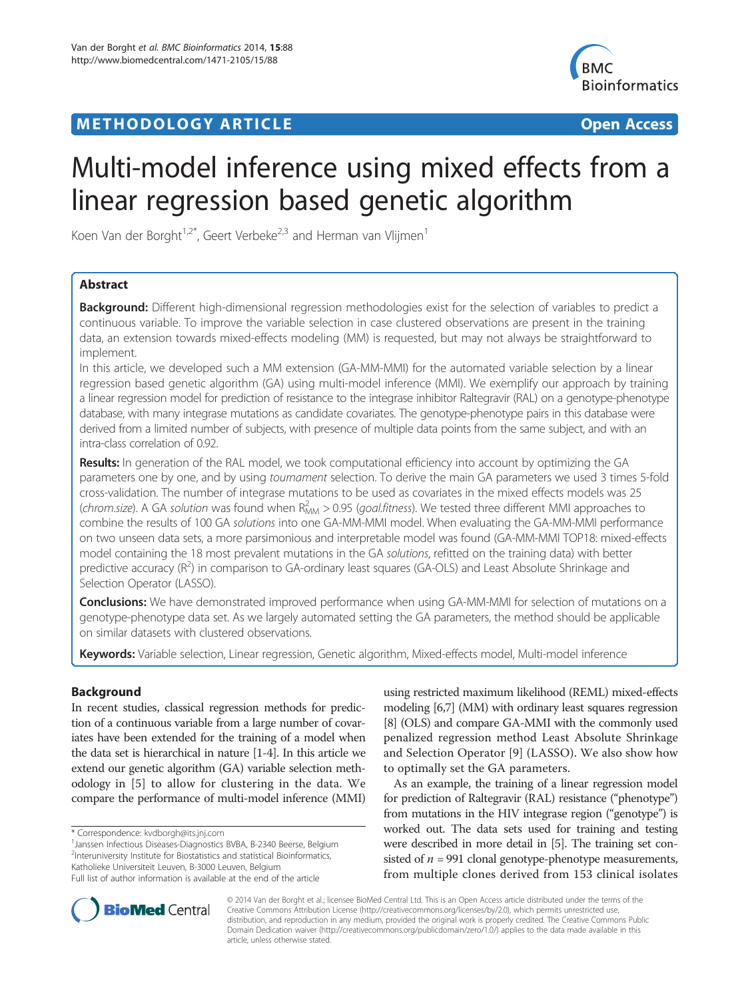# **METHODOLOGY ARTICLE CONSUMING A RESERVE AND LOGISTIC ACCESS**



# Multi-model inference using mixed effects from a linear regression based genetic algorithm

Koen Van der Borght<sup>1,2\*</sup>, Geert Verbeke<sup>2,3</sup> and Herman van Vlijmen<sup>1</sup>

# Abstract

**Background:** Different high-dimensional regression methodologies exist for the selection of variables to predict a continuous variable. To improve the variable selection in case clustered observations are present in the training data, an extension towards mixed-effects modeling (MM) is requested, but may not always be straightforward to implement.

In this article, we developed such a MM extension (GA-MM-MMI) for the automated variable selection by a linear regression based genetic algorithm (GA) using multi-model inference (MMI). We exemplify our approach by training a linear regression model for prediction of resistance to the integrase inhibitor Raltegravir (RAL) on a genotype-phenotype database, with many integrase mutations as candidate covariates. The genotype-phenotype pairs in this database were derived from a limited number of subjects, with presence of multiple data points from the same subject, and with an intra-class correlation of 0.92.

Results: In generation of the RAL model, we took computational efficiency into account by optimizing the GA parameters one by one, and by using tournament selection. To derive the main GA parameters we used 3 times 5-fold cross-validation. The number of integrase mutations to be used as covariates in the mixed effects models was 25 (chrom.size). A GA solution was found when  $R_{MM}^2 > 0.95$  (goal.fitness). We tested three different MMI approaches to combine the results of 100 GA solutions into one GA-MM-MMI model. When evaluating the GA-MM-MMI performance on two unseen data sets, a more parsimonious and interpretable model was found (GA-MM-MMI TOP18: mixed-effects model containing the 18 most prevalent mutations in the GA solutions, refitted on the training data) with better predictive accuracy (R<sup>2</sup>) in comparison to GA-ordinary least squares (GA-OLS) and Least Absolute Shrinkage and Selection Operator (LASSO).

**Conclusions:** We have demonstrated improved performance when using GA-MM-MMI for selection of mutations on a genotype-phenotype data set. As we largely automated setting the GA parameters, the method should be applicable on similar datasets with clustered observations.

Keywords: Variable selection, Linear regression, Genetic algorithm, Mixed-effects model, Multi-model inference

# Background

In recent studies, classical regression methods for prediction of a continuous variable from a large number of covariates have been extended for the training of a model when the data set is hierarchical in nature [\[1-4\]](#page-9-0). In this article we extend our genetic algorithm (GA) variable selection methodology in [\[5\]](#page-10-0) to allow for clustering in the data. We compare the performance of multi-model inference (MMI)

\* Correspondence: [kvdborgh@its.jnj.com](mailto:kvdborgh@its.jnj.com) <sup>1</sup>

<sup>1</sup> Janssen Infectious Diseases-Diagnostics BVBA, B-2340 Beerse, Belgium <sup>2</sup>Interuniversity Institute for Biostatistics and statistical Bioinformatics, Katholieke Universiteit Leuven, B-3000 Leuven, Belgium

using restricted maximum likelihood (REML) mixed-effects modeling [\[6,7](#page-10-0)] (MM) with ordinary least squares regression [[8](#page-10-0)] (OLS) and compare GA-MMI with the commonly used penalized regression method Least Absolute Shrinkage and Selection Operator [\[9](#page-10-0)] (LASSO). We also show how to optimally set the GA parameters.

As an example, the training of a linear regression model for prediction of Raltegravir (RAL) resistance ("phenotype") from mutations in the HIV integrase region ("genotype") is worked out. The data sets used for training and testing were described in more detail in [[5](#page-10-0)]. The training set consisted of  $n = 991$  clonal genotype-phenotype measurements, from multiple clones derived from 153 clinical isolates



© 2014 Van der Borght et al.; licensee BioMed Central Ltd. This is an Open Access article distributed under the terms of the Creative Commons Attribution License (<http://creativecommons.org/licenses/by/2.0>), which permits unrestricted use, distribution, and reproduction in any medium, provided the original work is properly credited. The Creative Commons Public Domain Dedication waiver [\(http://creativecommons.org/publicdomain/zero/1.0/\)](http://creativecommons.org/publicdomain/zero/1.0/) applies to the data made available in this article, unless otherwise stated.

Full list of author information is available at the end of the article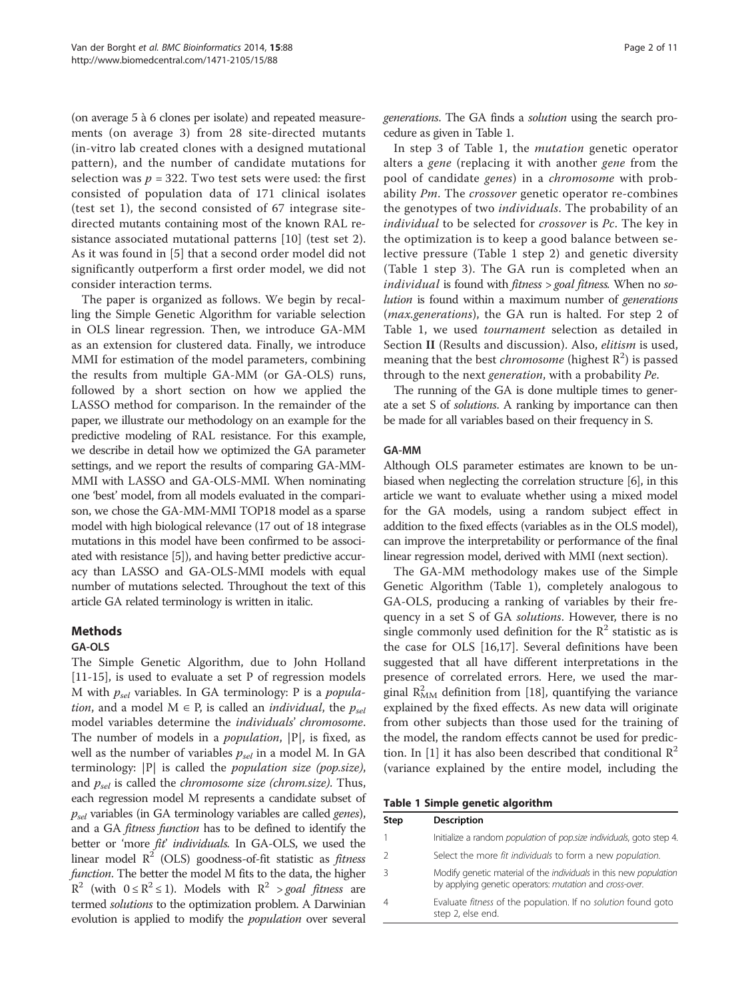<span id="page-1-0"></span>(on average 5 à 6 clones per isolate) and repeated measurements (on average 3) from 28 site-directed mutants (in-vitro lab created clones with a designed mutational pattern), and the number of candidate mutations for selection was  $p = 322$ . Two test sets were used: the first consisted of population data of 171 clinical isolates (test set 1), the second consisted of 67 integrase sitedirected mutants containing most of the known RAL resistance associated mutational patterns [\[10\]](#page-10-0) (test set 2). As it was found in [\[5](#page-10-0)] that a second order model did not significantly outperform a first order model, we did not consider interaction terms.

The paper is organized as follows. We begin by recalling the Simple Genetic Algorithm for variable selection in OLS linear regression. Then, we introduce GA-MM as an extension for clustered data. Finally, we introduce MMI for estimation of the model parameters, combining the results from multiple GA-MM (or GA-OLS) runs, followed by a short section on how we applied the LASSO method for comparison. In the remainder of the paper, we illustrate our methodology on an example for the predictive modeling of RAL resistance. For this example, we describe in detail how we optimized the GA parameter settings, and we report the results of comparing GA-MM-MMI with LASSO and GA-OLS-MMI. When nominating one 'best' model, from all models evaluated in the comparison, we chose the GA-MM-MMI TOP18 model as a sparse model with high biological relevance (17 out of 18 integrase mutations in this model have been confirmed to be associated with resistance [\[5\]](#page-10-0)), and having better predictive accuracy than LASSO and GA-OLS-MMI models with equal number of mutations selected. Throughout the text of this article GA related terminology is written in italic.

# Methods

# GA-OLS

The Simple Genetic Algorithm, due to John Holland [[11-15](#page-10-0)], is used to evaluate a set P of regression models M with  $p_{sel}$  variables. In GA terminology: P is a popula*tion*, and a model  $M \in P$ , is called an *individual*, the  $p_{sel}$ model variables determine the individuals' chromosome. The number of models in a *population*,  $|P|$ , is fixed, as well as the number of variables  $p_{\text{sel}}$  in a model M. In GA terminology:  $|P|$  is called the *population size (pop.size)*, and  $p_{sel}$  is called the *chromosome size (chrom.size)*. Thus, each regression model M represents a candidate subset of  $p_{sel}$  variables (in GA terminology variables are called genes), and a GA fitness function has to be defined to identify the better or 'more fit' individuals. In GA-OLS, we used the linear model  $R^2$  (OLS) goodness-of-fit statistic as *fitness* function. The better the model M fits to the data, the higher  $R^2$  (with  $0 \le R^2 \le 1$ ). Models with  $R^2 > \text{goal fitness}$  are termed solutions to the optimization problem. A Darwinian evolution is applied to modify the population over several generations. The GA finds a solution using the search procedure as given in Table 1.

In step 3 of Table 1, the mutation genetic operator alters a gene (replacing it with another gene from the pool of candidate genes) in a chromosome with probability Pm. The crossover genetic operator re-combines the genotypes of two *individuals*. The probability of an individual to be selected for crossover is Pc. The key in the optimization is to keep a good balance between selective pressure (Table 1 step 2) and genetic diversity (Table 1 step 3). The GA run is completed when an individual is found with fitness > goal fitness. When no solution is found within a maximum number of generations (max.generations), the GA run is halted. For step 2 of Table 1, we used *tournament* selection as detailed in Section II (Results and discussion). Also, elitism is used, meaning that the best *chromosome* (highest  $R^2$ ) is passed through to the next generation, with a probability Pe.

The running of the GA is done multiple times to generate a set S of solutions. A ranking by importance can then be made for all variables based on their frequency in S.

#### GA-MM

Although OLS parameter estimates are known to be unbiased when neglecting the correlation structure [\[6\]](#page-10-0), in this article we want to evaluate whether using a mixed model for the GA models, using a random subject effect in addition to the fixed effects (variables as in the OLS model), can improve the interpretability or performance of the final linear regression model, derived with MMI (next section).

The GA-MM methodology makes use of the Simple Genetic Algorithm (Table 1), completely analogous to GA-OLS, producing a ranking of variables by their frequency in a set S of GA solutions. However, there is no single commonly used definition for the  $\mathbb{R}^2$  statistic as is the case for OLS [[16,17](#page-10-0)]. Several definitions have been suggested that all have different interpretations in the presence of correlated errors. Here, we used the marginal  $R_{MM}^2$  definition from [\[18](#page-10-0)], quantifying the variance explained by the fixed effects. As new data will originate from other subjects than those used for the training of the model, the random effects cannot be used for predic-tion. In [\[1](#page-9-0)] it has also been described that conditional  $\mathbb{R}^2$ (variance explained by the entire model, including the

Table 1 Simple genetic algorithm

| <b>Step</b> | <b>Description</b>                                                                                                                         |
|-------------|--------------------------------------------------------------------------------------------------------------------------------------------|
|             | Initialize a random <i>population</i> of <i>pop.size individuals</i> , goto step 4.                                                        |
|             | Select the more fit individuals to form a new population.                                                                                  |
| ੨           | Modify genetic material of the <i>individuals</i> in this new <i>population</i><br>by applying genetic operators: mutation and cross-over. |
|             | Evaluate fitness of the population. If no solution found goto<br>step 2, else end.                                                         |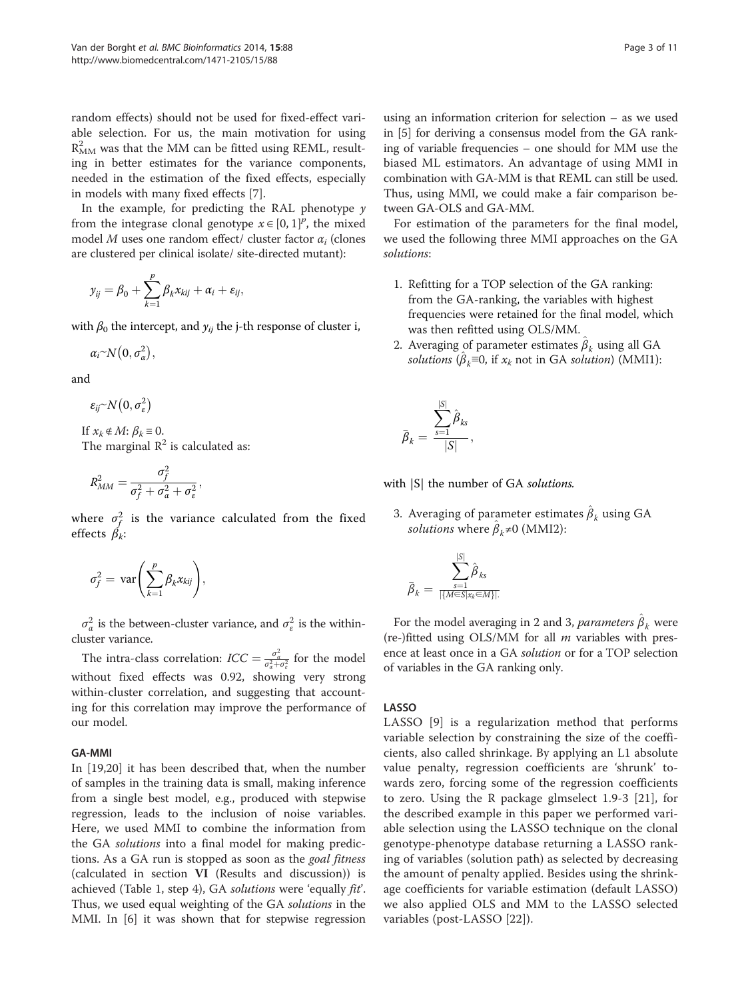random effects) should not be used for fixed-effect variable selection. For us, the main motivation for using  $R^2_{\rm MM}$  was that the MM can be fitted using REML, resulting in better estimates for the variance components, needed in the estimation of the fixed effects, especially in models with many fixed effects [[7\]](#page-10-0).

In the example, for predicting the RAL phenotype  $\gamma$ from the integrase clonal genotype  $x \in [0, 1]^p$ , the mixed model M uses one random effect/ cluster factor  $\alpha_i$  (clones are clustered per clinical isolate/ site-directed mutant):

$$
y_{ij} = \beta_0 + \sum_{k=1}^p \beta_k x_{kij} + \alpha_i + \varepsilon_{ij},
$$

with  $\beta_0$  the intercept, and  $y_{ij}$  the j-th response of cluster i,

$$
\alpha_i \sim N\big(0, \sigma_\alpha^2\big),\,
$$

and

$$
\varepsilon_{ij} \sim N\big(0,\sigma_{\varepsilon}^2\big)
$$

If  $x_k \notin M$ :  $\beta_k \equiv 0$ . The marginal  $R^2$  is calculated as:

$$
R_{MM}^2 = \frac{\sigma_f^2}{\sigma_f^2 + \sigma_a^2 + \sigma_\varepsilon^2},
$$

where  $\sigma_f^2$  is the variance calculated from the fixed effects  $\beta_k$ :

$$
\sigma_f^2 = \text{var}\left(\sum_{k=1}^p \beta_k x_{kij}\right),\,
$$

 $\sigma_{\alpha}^2$  is the between-cluster variance, and  $\sigma_{\varepsilon}^2$  is the withincluster variance.

The intra-class correlation:  $ICC = \frac{\sigma_a^2}{\sigma_a^2 + \sigma_e^2}$  for the model without fixed effects was 0.92, showing very strong within-cluster correlation, and suggesting that accounting for this correlation may improve the performance of our model.

#### GA-MMI

In [\[19,20](#page-10-0)] it has been described that, when the number of samples in the training data is small, making inference from a single best model, e.g., produced with stepwise regression, leads to the inclusion of noise variables. Here, we used MMI to combine the information from the GA solutions into a final model for making predictions. As a GA run is stopped as soon as the *goal fitness* (calculated in section VI (Results and discussion)) is achieved (Table [1](#page-1-0), step 4), GA solutions were 'equally fit'. Thus, we used equal weighting of the GA solutions in the MMI. In [\[6](#page-10-0)] it was shown that for stepwise regression

using an information criterion for selection – as we used in [\[5\]](#page-10-0) for deriving a consensus model from the GA ranking of variable frequencies – one should for MM use the biased ML estimators. An advantage of using MMI in combination with GA-MM is that REML can still be used. Thus, using MMI, we could make a fair comparison between GA-OLS and GA-MM.

For estimation of the parameters for the final model, we used the following three MMI approaches on the GA solutions:

- 1. Refitting for a TOP selection of the GA ranking: from the GA-ranking, the variables with highest frequencies were retained for the final model, which was then refitted using OLS/MM.
- 2. Averaging of parameter estimates  $\hat{\beta}_k$  using all GA solutions  $(\hat{\beta}_k \equiv 0)$ , if  $x_k$  not in GA solution) (MMI1):

$$
\bar{\beta}_k = \frac{\sum_{s=1}^{|S|} \hat{\beta}_{ks}}{|S|},
$$

with  $|S|$  the number of GA solutions.

3. Averaging of parameter estimates  $\hat{\beta}_k$  using GA *solutions* where  $\hat{\beta}_k \neq 0$  (MMI2):

$$
\bar{\beta}_k = \frac{\sum_{s=1}^{|S|} \hat{\beta}_{ks}}{\frac{1}{|\{M \in S | x_k \in M\}|}}
$$

For the model averaging in 2 and 3, *parameters*  $\hat{\beta}_k$  were (re-)fitted using OLS/MM for all  $m$  variables with presence at least once in a GA solution or for a TOP selection of variables in the GA ranking only.

#### LASSO

LASSO [\[9](#page-10-0)] is a regularization method that performs variable selection by constraining the size of the coefficients, also called shrinkage. By applying an L1 absolute value penalty, regression coefficients are 'shrunk' towards zero, forcing some of the regression coefficients to zero. Using the R package glmselect 1.9-3 [[21\]](#page-10-0), for the described example in this paper we performed variable selection using the LASSO technique on the clonal genotype-phenotype database returning a LASSO ranking of variables (solution path) as selected by decreasing the amount of penalty applied. Besides using the shrinkage coefficients for variable estimation (default LASSO) we also applied OLS and MM to the LASSO selected variables (post-LASSO [[22\]](#page-10-0)).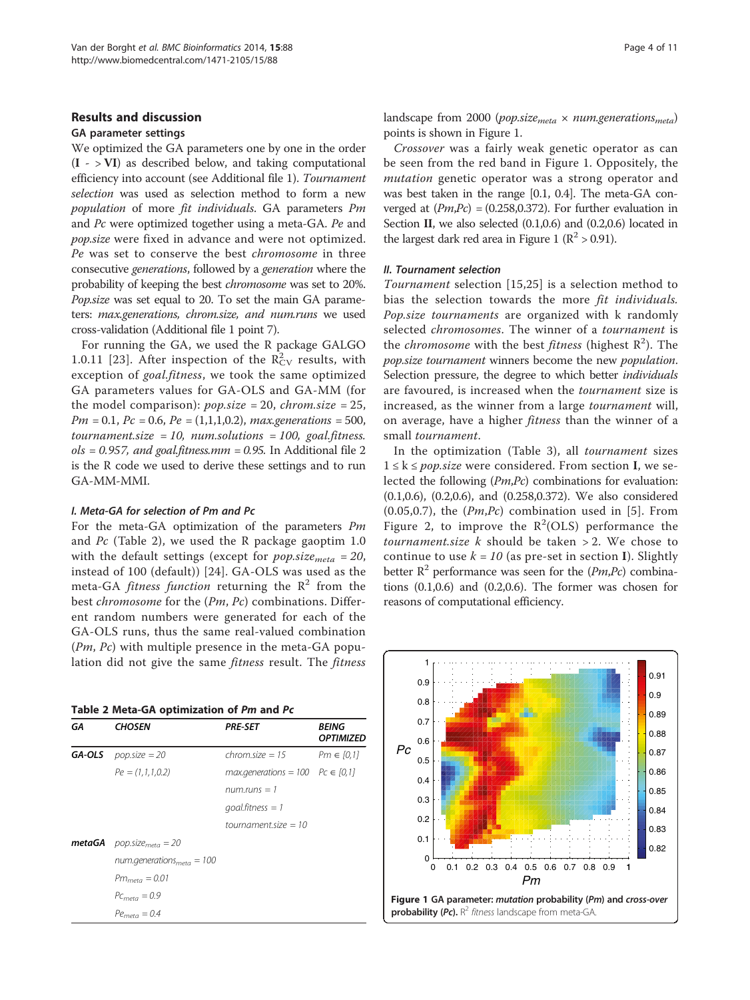#### Results and discussion

### GA parameter settings

We optimized the GA parameters one by one in the order  $(I - VI)$  as described below, and taking computational efficiency into account (see Additional file [1](#page-9-0)). Tournament selection was used as selection method to form a new population of more fit individuals. GA parameters Pm and Pc were optimized together using a meta-GA. Pe and pop.size were fixed in advance and were not optimized. Pe was set to conserve the best chromosome in three consecutive generations, followed by a generation where the probability of keeping the best chromosome was set to 20%. Pop.size was set equal to 20. To set the main GA parameters: max.generations, chrom.size, and num.runs we used cross-validation (Additional file [1](#page-9-0) point 7).

For running the GA, we used the R package GALGO 1.0.11 [[23\]](#page-10-0). After inspection of the  $R_{CV}^2$  results, with exception of goal.fitness, we took the same optimized GA parameters values for GA-OLS and GA-MM (for the model comparison):  $pop.size = 20$ ,  $chrom.size = 25$ ,  $Pm = 0.1$ ,  $Pc = 0.6$ ,  $Pe = (1,1,1,0.2)$ , max.generations = 500,  $t$ normal.size = 10, num. solutions = 100, goal fitness. $ols = 0.957$ , and goal.fitness.mm = 0.95. In Additional file [2](#page-9-0) is the R code we used to derive these settings and to run GA-MM-MMI.

#### I. Meta-GA for selection of Pm and Pc

For the meta-GA optimization of the parameters Pm and Pc (Table 2), we used the R package gaoptim 1.0 with the default settings (except for *pop.size<sub>meta</sub>* = 20, instead of 100 (default)) [\[24\]](#page-10-0). GA-OLS was used as the meta-GA *fitness function* returning the  $\mathbb{R}^2$  from the best *chromosome* for the (Pm, Pc) combinations. Different random numbers were generated for each of the GA-OLS runs, thus the same real-valued combination (Pm, Pc) with multiple presence in the meta-GA population did not give the same *fitness* result. The *fitness* 

|    | Table 2 Meta-GA optimization of Pm and Pc |          |  |
|----|-------------------------------------------|----------|--|
| -- |                                           | $\cdots$ |  |

| GΑ | <b>CHOSEN</b>                               | <b>PRE-SET</b>                          | BEING<br><b>OPTIMIZED</b> |
|----|---------------------------------------------|-----------------------------------------|---------------------------|
|    | <b>GA-OLS</b> <i>pop.size</i> = 20          | $chrom.size = 15$                       | $Pm \in [0,1]$            |
|    | $Pe = (1, 1, 1, 0.2)$                       | $max. generations = 100$ $Pc \in [0,1]$ |                           |
|    |                                             | num.runs $= 1$                          |                           |
|    |                                             | $q$ oal.fitness = 1                     |                           |
|    |                                             | tournament size $=10$                   |                           |
|    | <b>metaGA</b> pop.size <sub>meta</sub> = 20 |                                         |                           |
|    | num.generations $_{meta}$ = 100             |                                         |                           |
|    | $Pm_{meta} = 0.01$                          |                                         |                           |
|    | $PC_{meta} = 0.9$                           |                                         |                           |
|    | $Pemeta = 0.4$                              |                                         |                           |

landscape from 2000 (pop.size<sub>meta</sub>  $\times$  num.generations<sub>meta</sub>) points is shown in Figure 1.

Crossover was a fairly weak genetic operator as can be seen from the red band in Figure 1. Oppositely, the mutation genetic operator was a strong operator and was best taken in the range [0.1, 0.4]. The meta-GA converged at  $(Pm, Pc) = (0.258, 0.372)$ . For further evaluation in Section II, we also selected (0.1,0.6) and (0.2,0.6) located in the largest dark red area in Figure 1 ( $\mathbb{R}^2$  > 0.91).

#### II. Tournament selection

Tournament selection [[15,25](#page-10-0)] is a selection method to bias the selection towards the more fit individuals. Pop.size tournaments are organized with k randomly selected chromosomes. The winner of a tournament is the *chromosome* with the best *fitness* (highest  $R^2$ ). The pop.size tournament winners become the new population. Selection pressure, the degree to which better *individuals* are favoured, is increased when the tournament size is increased, as the winner from a large tournament will, on average, have a higher *fitness* than the winner of a small tournament.

In the optimization (Table [3](#page-4-0)), all tournament sizes  $1 \leq k \leq pop.size$  were considered. From section I, we selected the following (Pm,Pc) combinations for evaluation: (0.1,0.6), (0.2,0.6), and (0.258,0.372). We also considered  $(0.05, 0.7)$  $(0.05, 0.7)$  $(0.05, 0.7)$ , the  $(Pm, Pc)$  combination used in [5]. From Figure [2](#page-4-0), to improve the  $R^2(OLS)$  performance the tournament.size  $k$  should be taken  $> 2$ . We chose to continue to use  $k = 10$  (as pre-set in section I). Slightly better  $R^2$  performance was seen for the (*Pm*,*Pc*) combinations (0.1,0.6) and (0.2,0.6). The former was chosen for reasons of computational efficiency.

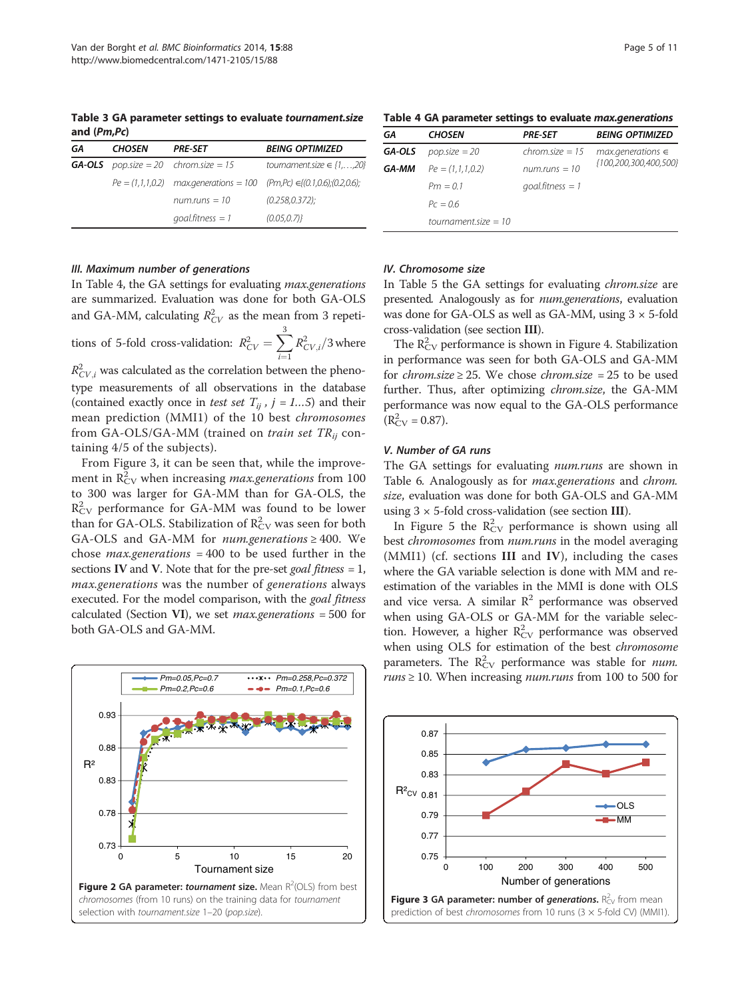<span id="page-4-0"></span>Table 3 GA parameter settings to evaluate tournament.size and (Pm,Pc)

| GА | <b>CHOSEN</b> | <b>PRE-SET</b>                              | <b>BEING OPTIMIZED</b>                                                               |  |  |  |
|----|---------------|---------------------------------------------|--------------------------------------------------------------------------------------|--|--|--|
|    |               | <b>GA-OLS</b> pop.size = 20 chrom.size = 15 | tournament.size $\in \{1, \ldots, 20\}$                                              |  |  |  |
|    |               |                                             | $Pe = (1, 1, 1, 0.2)$ max.generations = 100 (Pm,Pc) $\in \{(0.1, 0.6), (0.2, 0.6)\}$ |  |  |  |
|    |               | $num.runs = 10$                             | (0.258.0.372)                                                                        |  |  |  |
|    |               | $q$ oal.fitness = 1                         | (0.05, 0.7)                                                                          |  |  |  |

#### III. Maximum number of generations

taining 4/5 of the subjects).

In Table 4, the GA settings for evaluating max.generations are summarized. Evaluation was done for both GA-OLS and GA-MM, calculating  $R_{CV}^2$  as the mean from 3 repetitions of 5-fold cross-validation:  $R_{CV}^2 = \sum_{i=1}^3$  $\sum_{i=1}^{i=1}$  $R^2_{CV,i}/3$  where  $R_{CV,i}^2$  was calculated as the correlation between the phenotype measurements of all observations in the database (contained exactly once in *test set*  $T_{ij}$ ,  $j = 1...5$ ) and their mean prediction (MMI1) of the 10 best chromosomes from GA-OLS/GA-MM (trained on *train set*  $TR_{ii}$  con-

From Figure 3, it can be seen that, while the improvement in  $\mathrm{R}_{\mathrm{CV}}^2$  when increasing *max.generations* from 100 to 300 was larger for GA-MM than for GA-OLS, the  $R_{\rm CV}^2$  performance for GA-MM was found to be lower than for GA-OLS. Stabilization of  $\mathrm{R_{CV}}^2$  was seen for both GA-OLS and GA-MM for *num.generations*  $\geq$  400. We chose *max.generations* = 400 to be used further in the sections IV and V. Note that for the pre-set goal fitness  $= 1$ , max.generations was the number of generations always executed. For the model comparison, with the *goal fitness* calculated (Section VI), we set *max.generations* = 500 for both GA-OLS and GA-MM.

0.73 0.78 0.83 0.88 0.93 0 5 10 15 20 R² Tournament size *Pm=0.05,Pc=0.7 Pm=0.258,Pc=0.372 Pm=0.2,Pc=0.6 Pm=0.1,Pc=0.6* Figure 2 GA parameter: tournament size. Mean R<sup>2</sup>(OLS) from best chromosomes (from 10 runs) on the training data for tournament selection with tournament.size 1-20 (pop.size).

Table 4 GA parameter settings to evaluate max.generations

| GΑ     | <b>CHOSEN</b>         | <b>PRE-SET</b>      | <b>BEING OPTIMIZED</b> |  |  |  |  |
|--------|-----------------------|---------------------|------------------------|--|--|--|--|
| GA-OLS | $pop.size = 20$       | $chrom.size = 15$   | $max. generations \in$ |  |  |  |  |
| GA-MM  | $Pe = (1, 1, 1, 0.2)$ | num.runs $=10$      | {100,200,300,400,500}  |  |  |  |  |
|        | $Pm = 0.1$            | $q$ oal.fitness = 1 |                        |  |  |  |  |
|        | $Pc = 0.6$            |                     |                        |  |  |  |  |
|        | tournament size $=10$ |                     |                        |  |  |  |  |
|        |                       |                     |                        |  |  |  |  |

#### IV. Chromosome size

In Table [5](#page-5-0) the GA settings for evaluating *chrom.size* are presented. Analogously as for num.generations, evaluation was done for GA-OLS as well as GA-MM, using  $3 \times 5$ -fold cross-validation (see section III).

The  $R_{CV}^2$  performance is shown in Figure [4](#page-5-0). Stabilization in performance was seen for both GA-OLS and GA-MM for *chrom.size*  $\geq$  25. We chose *chrom.size* = 25 to be used further. Thus, after optimizing *chrom.size*, the GA-MM performance was now equal to the GA-OLS performance  $(R_{CV}^2 = 0.87)$ .

#### V. Number of GA runs

The GA settings for evaluating num.runs are shown in Table [6](#page-5-0). Analogously as for max.generations and chrom. size, evaluation was done for both GA-OLS and GA-MM using  $3 \times 5$ -fold cross-validation (see section III).

In Figure [5](#page-5-0) the  $R_{CV}^2$  performance is shown using all best *chromosomes* from num.runs in the model averaging (MMI1) (cf. sections III and IV), including the cases where the GA variable selection is done with MM and reestimation of the variables in the MMI is done with OLS and vice versa. A similar  $R^2$  performance was observed when using GA-OLS or GA-MM for the variable selection. However, a higher  $R_{CV}^2$  performance was observed when using OLS for estimation of the best chromosome parameters. The  $R_{CV}^2$  performance was stable for *num*.  $runs \ge 10$ . When increasing *num.runs* from 100 to 500 for

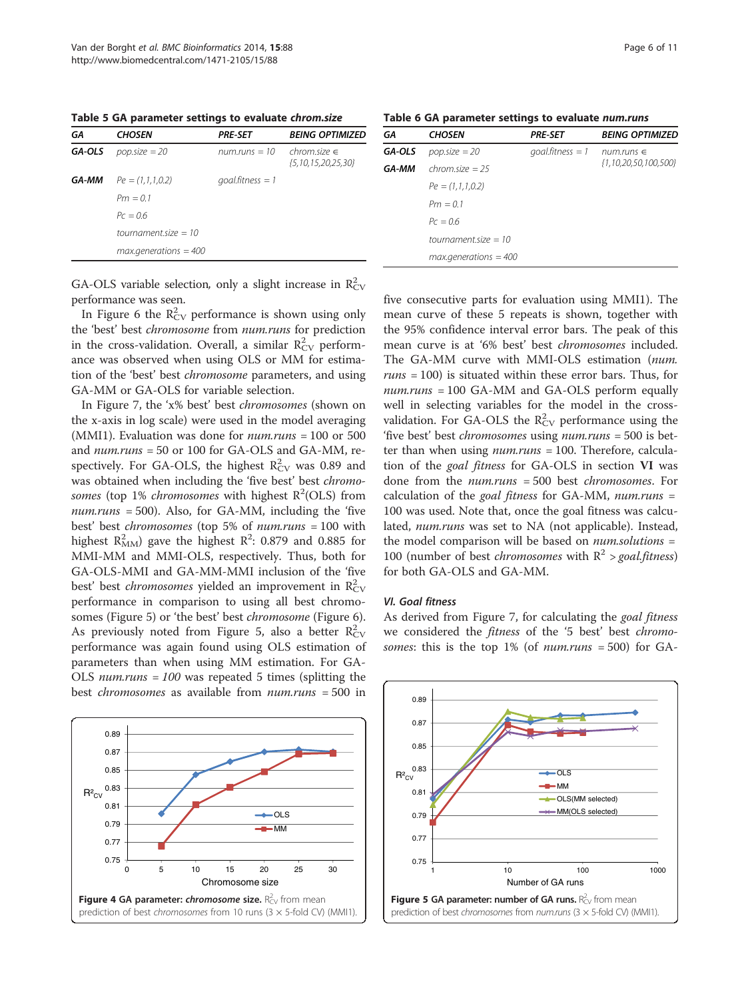<span id="page-5-0"></span>Table 5 GA parameter settings to evaluate chrom.size

|     |                             | Table 6 GA parameter settings to evaluate num.runs |     |
|-----|-----------------------------|----------------------------------------------------|-----|
| - - | $\mathbf{r}$ , $\mathbf{r}$ | $\sim$ $\sim$ $\sim$ $\sim$                        | P'' |

| GΑ     | <b>CHOSEN</b>               | <b>PRE-SET</b>      | <b>BEING OPTIMIZED</b>                 |
|--------|-----------------------------|---------------------|----------------------------------------|
| GA-OLS | $pop.size = 20$             | num.runs $=$ 10     | $chrom.size \in$<br>{5,10,15,20,25,30} |
| GA-MM  | $Pe = (1, 1, 1, 0.2)$       | $q$ oal.fitness = 1 |                                        |
|        | $Pm = 0.1$                  |                     |                                        |
|        | $Pc = 06$                   |                     |                                        |
|        | tournament size = $10$      |                     |                                        |
|        | $max. \theta$ and $s = 400$ |                     |                                        |
|        |                             |                     |                                        |

GA CHOSEN PRE-SET BEING OPTIMIZED **GA-OLS** pop.size = 20 goal.fitness = 1 num.runs  $∈$ **GA-MM** chrom.size =  $25$  {1,10,20,50,100,500}  $Pe = (1,1,1,0.2)$  $Pm = 0.1$  $PC = 0.6$  $tournament.size = 10$  $max. \overline{a}$ enerations = 400

GA-OLS variable selection, only a slight increase in  $R_{CV}^2$ performance was seen.

In Figure [6](#page-6-0) the  $R_{\rm CV}^2$  performance is shown using only the 'best' best chromosome from num.runs for prediction in the cross-validation. Overall, a similar  $R_{\rm CV}^2$  performance was observed when using OLS or MM for estimation of the 'best' best chromosome parameters, and using GA-MM or GA-OLS for variable selection.

In Figure [7](#page-6-0), the 'x% best' best chromosomes (shown on the x-axis in log scale) were used in the model averaging (MMI1). Evaluation was done for  $num. runs = 100$  or 500 and num.runs = 50 or 100 for GA-OLS and GA-MM, respectively. For GA-OLS, the highest  $R_{\rm CV}^2$  was 0.89 and was obtained when including the 'five best' best chromosomes (top 1% *chromosomes* with highest  $R^2(OLS)$  from  $num.runs = 500$ . Also, for GA-MM, including the 'five best' best chromosomes (top 5% of num.runs = 100 with highest  $R^2_{MM}$ ) gave the highest  $R^2$ : 0.879 and 0.885 for MMI-MM and MMI-OLS, respectively. Thus, both for GA-OLS-MMI and GA-MM-MMI inclusion of the 'five best' best *chromosomes* yielded an improvement in  $R_{\rm CV}^2$ performance in comparison to using all best chromosomes (Figure 5) or 'the best' best chromosome (Figure [6](#page-6-0)). As previously noted from Figure 5, also a better  $R_{CV}^2$ performance was again found using OLS estimation of parameters than when using MM estimation. For GA-OLS *num.runs* =  $100$  was repeated 5 times (splitting the best chromosomes as available from num.runs = 500 in



five consecutive parts for evaluation using MMI1). The mean curve of these 5 repeats is shown, together with the 95% confidence interval error bars. The peak of this mean curve is at '6% best' best chromosomes included. The GA-MM curve with MMI-OLS estimation (num.  $runs = 100$ ) is situated within these error bars. Thus, for num.runs = 100 GA-MM and GA-OLS perform equally well in selecting variables for the model in the crossvalidation. For GA-OLS the  $R_{CV}^2$  performance using the 'five best' best chromosomes using num.runs = 500 is better than when using  $num runs = 100$ . Therefore, calculation of the goal fitness for GA-OLS in section VI was done from the num.runs = 500 best chromosomes. For calculation of the goal fitness for GA-MM, num.runs  $=$ 100 was used. Note that, once the goal fitness was calculated, num.runs was set to NA (not applicable). Instead, the model comparison will be based on  $num. solutions =$ 100 (number of best *chromosomes* with  $R^2 > \text{goal fitness}$ ) for both GA-OLS and GA-MM.

# VI. Goal fitness

As derived from Figure [7](#page-6-0), for calculating the goal fitness we considered the fitness of the '5 best' best chromosomes: this is the top  $1\%$  (of num.runs = 500) for GA-

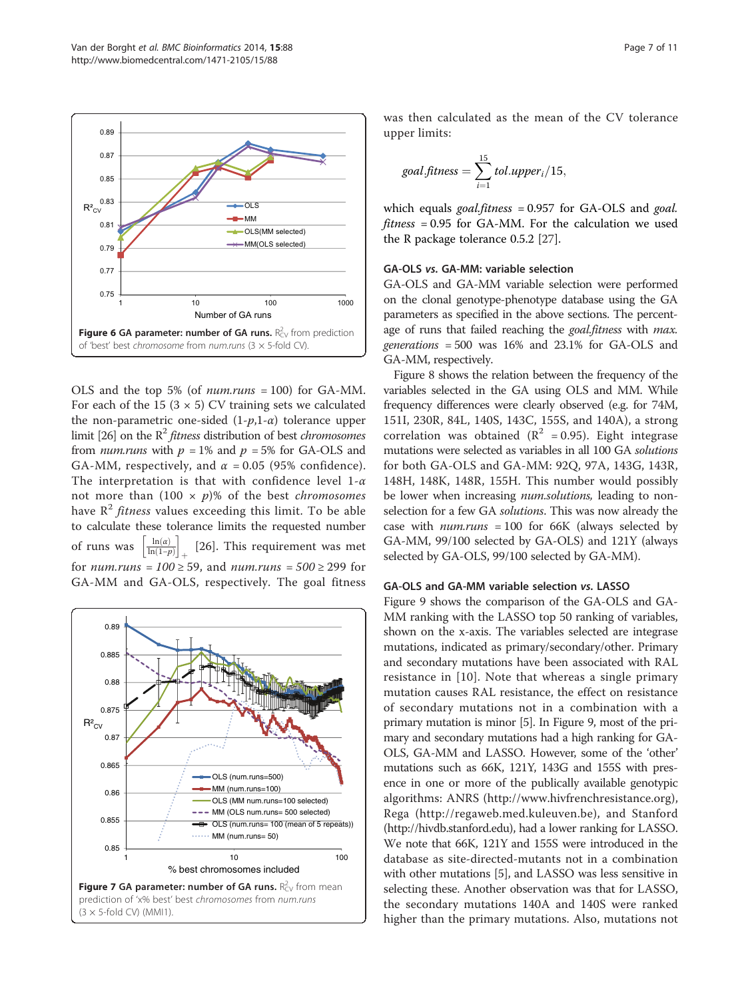<span id="page-6-0"></span>

OLS and the top 5% (of num.runs = 100) for GA-MM. For each of the 15 ( $3 \times 5$ ) CV training sets we calculated the non-parametric one-sided  $(1-p,1-\alpha)$  tolerance upper limit [\[26\]](#page-10-0) on the  $\mathbb{R}^2$  *fitness* distribution of best *chromosomes* from *num.runs* with  $p = 1\%$  and  $p = 5\%$  for GA-OLS and GA-MM, respectively, and  $\alpha$  = 0.05 (95% confidence). The interpretation is that with confidence level  $1-\alpha$ not more than  $(100 \times p)\%$  of the best *chromosomes* have  $\mathbb{R}^2$  *fitness* values exceeding this limit. To be able to calculate these tolerance limits the requested number of runs was  $\left\lfloor \frac{\ln(a)}{\ln(1-p)} \right\rfloor$  $\left[\frac{\ln(\alpha)}{\ln(1-n)}\right]$  [\[26](#page-10-0)]. This requirement was met for *num.runs* =  $100 \ge 59$ , and *num.runs* =  $500 \ge 299$  for GA-MM and GA-OLS, respectively. The goal fitness



was then calculated as the mean of the CV tolerance upper limits:

$$
goal.fitness = \sum_{i=1}^{15} tol.upper_i/15,
$$

which equals *goal.fitness* =  $0.957$  for GA-OLS and *goal*. fitness = 0.95 for GA-MM. For the calculation we used the R package tolerance 0.5.2 [\[27](#page-10-0)].

#### GA-OLS vs. GA-MM: variable selection

GA-OLS and GA-MM variable selection were performed on the clonal genotype-phenotype database using the GA parameters as specified in the above sections. The percentage of runs that failed reaching the *goal.fitness* with *max*. generations = 500 was 16% and 23.1% for GA-OLS and GA-MM, respectively.

Figure [8](#page-7-0) shows the relation between the frequency of the variables selected in the GA using OLS and MM. While frequency differences were clearly observed (e.g. for 74M, 151I, 230R, 84L, 140S, 143C, 155S, and 140A), a strong correlation was obtained ( $R^2$  = 0.95). Eight integrase mutations were selected as variables in all 100 GA solutions for both GA-OLS and GA-MM: 92Q, 97A, 143G, 143R, 148H, 148K, 148R, 155H. This number would possibly be lower when increasing *num.solutions*, leading to nonselection for a few GA solutions. This was now already the case with  $num runs = 100$  for 66K (always selected by GA-MM, 99/100 selected by GA-OLS) and 121Y (always selected by GA-OLS, 99/100 selected by GA-MM).

### GA-OLS and GA-MM variable selection vs. LASSO

Figure [9](#page-7-0) shows the comparison of the GA-OLS and GA-MM ranking with the LASSO top 50 ranking of variables, shown on the x-axis. The variables selected are integrase mutations, indicated as primary/secondary/other. Primary and secondary mutations have been associated with RAL resistance in [[10\]](#page-10-0). Note that whereas a single primary mutation causes RAL resistance, the effect on resistance of secondary mutations not in a combination with a primary mutation is minor [[5](#page-10-0)]. In Figure [9](#page-7-0), most of the primary and secondary mutations had a high ranking for GA-OLS, GA-MM and LASSO. However, some of the 'other' mutations such as 66K, 121Y, 143G and 155S with presence in one or more of the publically available genotypic algorithms: ANRS [\(http://www.hivfrenchresistance.org](http://www.hivfrenchresistance.org/)), Rega [\(http://regaweb.med.kuleuven.be](http://regaweb.med.kuleuven.be/)), and Stanford ([http://hivdb.stanford.edu\)](http://hivdb.stanford.edu/), had a lower ranking for LASSO. We note that 66K, 121Y and 155S were introduced in the database as site-directed-mutants not in a combination with other mutations [[5](#page-10-0)], and LASSO was less sensitive in selecting these. Another observation was that for LASSO, the secondary mutations 140A and 140S were ranked higher than the primary mutations. Also, mutations not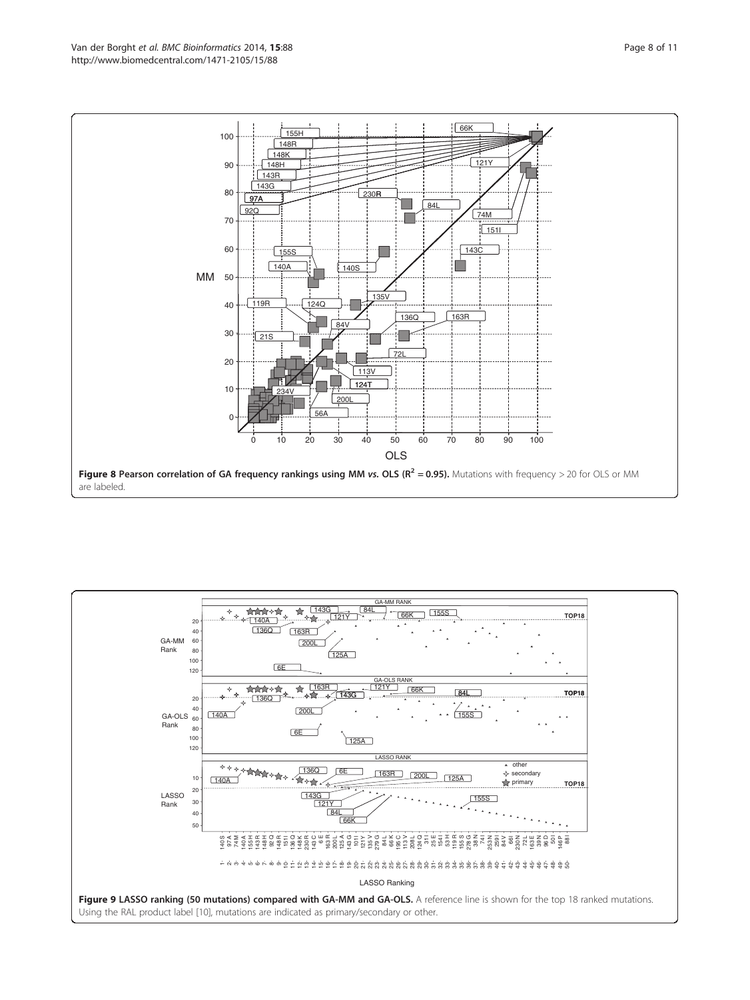<span id="page-7-0"></span>

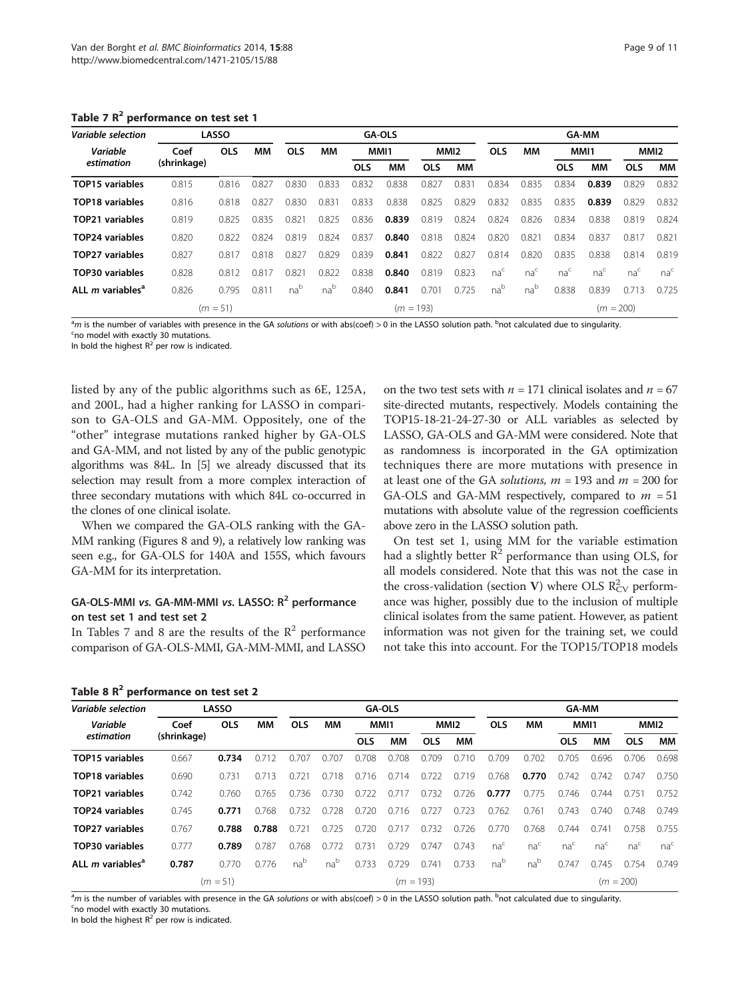| Variable selection                  | <b>LASSO</b> |            |       | <b>GA-OLS</b>   |                 |            |           |             | <b>GA-MM</b>     |                 |                 |                 |                 |                 |                  |
|-------------------------------------|--------------|------------|-------|-----------------|-----------------|------------|-----------|-------------|------------------|-----------------|-----------------|-----------------|-----------------|-----------------|------------------|
| Variable                            | Coef         | <b>OLS</b> | ΜМ    | <b>OLS</b>      | MМ              |            | MMI1      |             | MMI <sub>2</sub> | <b>OLS</b>      | MМ              |                 | MMI1            |                 | MMI <sub>2</sub> |
| estimation                          | (shrinkage)  |            |       |                 |                 | <b>OLS</b> | <b>MM</b> | <b>OLS</b>  | MМ               |                 |                 | <b>OLS</b>      | MМ              | <b>OLS</b>      | MМ               |
| TOP15 variables                     | 0.815        | 0.816      | 0.827 | 0.830           | 0.833           | 0.832      | 0.838     | 0.827       | 0.831            | 0.834           | 0.835           | 0.834           | 0.839           | 0.829           | 0.832            |
| <b>TOP18 variables</b>              | 0.816        | 0.818      | 0.827 | 0.830           | 0.831           | 0.833      | 0.838     | 0.825       | 0.829            | 0.832           | 0.835           | 0.835           | 0.839           | 0.829           | 0.832            |
| TOP21 variables                     | 0.819        | 0.825      | 0.835 | 0.821           | 0.825           | 0.836      | 0.839     | 0.819       | 0.824            | 0.824           | 0.826           | 0.834           | 0.838           | 0.819           | 0.824            |
| TOP24 variables                     | 0.820        | 0.822      | 0.824 | 0.819           | 0.824           | 0.837      | 0.840     | 0.818       | 0.824            | 0.820           | 0.821           | 0.834           | 0.837           | 0.817           | 0.821            |
| <b>TOP27 variables</b>              | 0.827        | 0.817      | 0.818 | 0.827           | 0.829           | 0.839      | 0.841     | 0.822       | 0.827            | 0.814           | 0.820           | 0.835           | 0.838           | 0.814           | 0.819            |
| TOP30 variables                     | 0.828        | 0.812      | 0.817 | 0.821           | 0.822           | 0.838      | 0.840     | 0.819       | 0.823            | na <sup>c</sup> | na <sup>c</sup> | na <sup>c</sup> | na <sup>c</sup> | na <sup>c</sup> | na <sup>c</sup>  |
| ALL <i>m</i> variables <sup>a</sup> | 0.826        | 0.795      | 0.811 | na <sup>b</sup> | na <sup>b</sup> | 0.840      | 0.841     | 0.701       | 0.725            | na <sup>b</sup> | nab             | 0.838           | 0.839           | 0.713           | 0.725            |
| $(m = 51)$                          |              |            |       |                 |                 |            |           | $(m = 193)$ |                  |                 |                 |                 | $(m = 200)$     |                 |                  |

Table 7  $R^2$  performance on test set 1

<sup>a</sup>m is the number of variables with presence in the GA solutions or with abs(coef) > 0 in the LASSO solution path. <sup>b</sup>not calculated due to singularity.<br><sup>Spo</sup> model with exactly 30 mutations

<sup>c</sup>no model with exactly 30 mutations

In bold the highest  $R^2$  per row is indicated.

listed by any of the public algorithms such as 6E, 125A, and 200L, had a higher ranking for LASSO in comparison to GA-OLS and GA-MM. Oppositely, one of the "other" integrase mutations ranked higher by GA-OLS and GA-MM, and not listed by any of the public genotypic algorithms was 84L. In [[5](#page-10-0)] we already discussed that its selection may result from a more complex interaction of three secondary mutations with which 84L co-occurred in the clones of one clinical isolate.

When we compared the GA-OLS ranking with the GA-MM ranking (Figures [8](#page-7-0) and [9\)](#page-7-0), a relatively low ranking was seen e.g., for GA-OLS for 140A and 155S, which favours GA-MM for its interpretation.

# GA-OLS-MMI vs. GA-MM-MMI vs. LASSO: R<sup>2</sup> performance on test set 1 and test set 2

In Tables 7 and 8 are the results of the  $R^2$  performance comparison of GA-OLS-MMI, GA-MM-MMI, and LASSO

|  |  | Table 8 R <sup>2</sup> performance on test set 2 |  |  |  |  |
|--|--|--------------------------------------------------|--|--|--|--|
|--|--|--------------------------------------------------|--|--|--|--|

on the two test sets with  $n = 171$  clinical isolates and  $n = 67$ site-directed mutants, respectively. Models containing the TOP15-18-21-24-27-30 or ALL variables as selected by LASSO, GA-OLS and GA-MM were considered. Note that as randomness is incorporated in the GA optimization techniques there are more mutations with presence in at least one of the GA solutions,  $m = 193$  and  $m = 200$  for GA-OLS and GA-MM respectively, compared to  $m = 51$ mutations with absolute value of the regression coefficients above zero in the LASSO solution path.

On test set 1, using MM for the variable estimation had a slightly better  $R^2$  performance than using OLS, for all models considered. Note that this was not the case in the cross-validation (section V) where OLS  $R_{CV}^2$  performance was higher, possibly due to the inclusion of multiple clinical isolates from the same patient. However, as patient information was not given for the training set, we could not take this into account. For the TOP15/TOP18 models

| <b>Variable selection</b>           | <b>LASSO</b> |            |       | <b>GA-OLS</b>   |       |            |       |             |                  | <b>GA-MM</b>    |                 |                 |                 |                 |                  |
|-------------------------------------|--------------|------------|-------|-----------------|-------|------------|-------|-------------|------------------|-----------------|-----------------|-----------------|-----------------|-----------------|------------------|
| Variable                            | Coef         | <b>OLS</b> | MМ    | <b>OLS</b>      | MМ    |            | MMI1  |             | MMI <sub>2</sub> | <b>OLS</b>      | MМ              | MMI1            |                 |                 | MMI <sub>2</sub> |
| estimation                          | (shrinkage)  |            |       |                 |       | <b>OLS</b> | MМ    | <b>OLS</b>  | MМ               |                 |                 | <b>OLS</b>      | MМ              | <b>OLS</b>      | MМ               |
| TOP15 variables                     | 0.667        | 0.734      | 0.712 | 0.707           | 0.707 | 0.708      | 0.708 | 0.709       | 0.710            | 0.709           | 0.702           | 0.705           | 0.696           | 0.706           | 0.698            |
| <b>TOP18</b> variables              | 0.690        | 0.731      | 0.713 | 0.721           | 0.718 | 0.716      | 0.714 | 0.722       | 0.719            | 0.768           | 0.770           | 0.742           | 0.742           | 0.747           | 0.750            |
| TOP21 variables                     | 0.742        | 0.760      | 0.765 | 0.736           | 0.730 | 0.722      | 0.717 | 0.732       | 0.726            | 0.777           | 0.775           | 0.746           | 0.744           | 0.751           | 0.752            |
| TOP24 variables                     | 0.745        | 0.771      | 0.768 | 0.732           | 0.728 | 0.720      | 0.716 | 0.727       | 0.723            | 0.762           | 0.761           | 0.743           | 0.740           | 0.748           | 0.749            |
| TOP27 variables                     | 0.767        | 0.788      | 0.788 | 0.721           | 0.725 | 0.720      | 0.717 | 0.732       | 0.726            | 0.770           | 0.768           | 0.744           | 0.741           | 0.758           | 0.755            |
| TOP30 variables                     | 0.777        | 0.789      | 0.787 | 0.768           | 0.772 | 0.731      | 0.729 | 0.747       | 0.743            | na <sup>c</sup> | na <sup>c</sup> | na <sup>c</sup> | na <sup>c</sup> | na <sup>c</sup> | na <sup>c</sup>  |
| ALL <i>m</i> variables <sup>a</sup> | 0.787        | 0.770      | 0.776 | na <sup>b</sup> | nab   | 0.733      | 0.729 | 0.741       | 0.733            | nab             | na <sup>b</sup> | 0.747           | 0.745           | 0.754           | 0.749            |
|                                     |              | $(m = 51)$ |       |                 |       |            |       | $(m = 193)$ |                  |                 |                 |                 |                 | $(m = 200)$     |                  |

<sup>a</sup>m is the number of variables with presence in the GA solutions or with abs(coef) > 0 in the LASSO solution path. <sup>b</sup>not calculated due to singularity.<br><sup>Spo</sup> model with exactly 20 mutations no model with exactly 30 mutations.

In bold the highest  $R^2$  per row is indicated.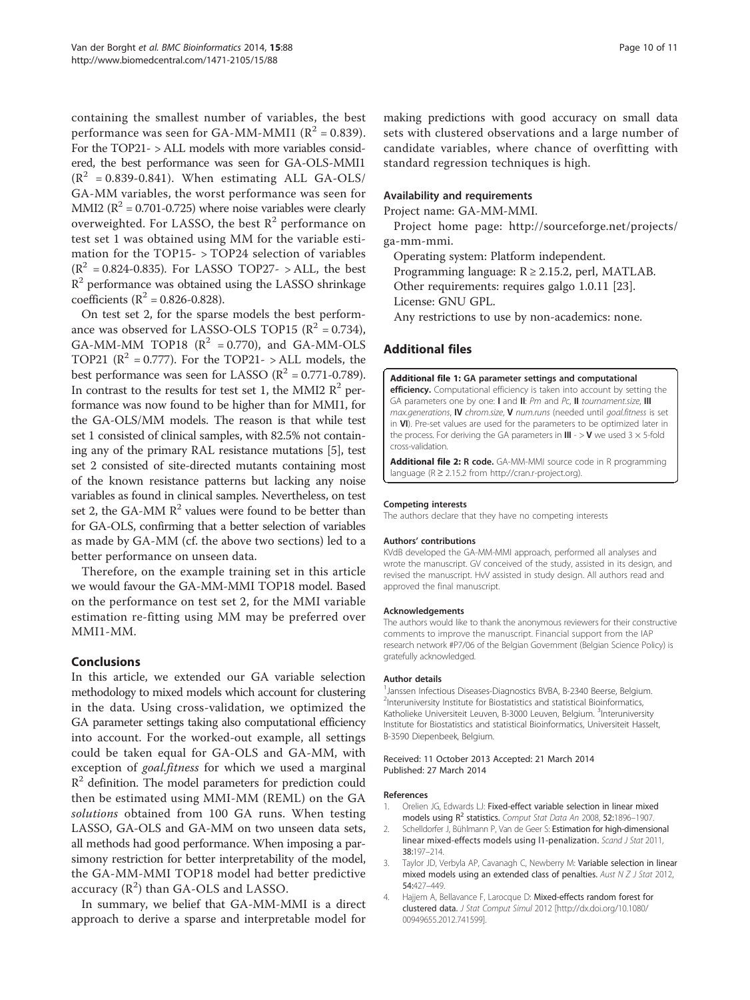<span id="page-9-0"></span>containing the smallest number of variables, the best performance was seen for GA-MM-MMI1 ( $R^2$  = 0.839). For the TOP21- > ALL models with more variables considered, the best performance was seen for GA-OLS-MMI1  $(R^2 = 0.839 - 0.841)$ . When estimating ALL GA-OLS/ GA-MM variables, the worst performance was seen for MMI2 ( $\mathbb{R}^2$  = 0.701-0.725) where noise variables were clearly overweighted. For LASSO, the best  $R^2$  performance on test set 1 was obtained using MM for the variable estimation for the TOP15- > TOP24 selection of variables  $(R^2 = 0.824 - 0.835)$ . For LASSO TOP27- > ALL, the best  $R<sup>2</sup>$  performance was obtained using the LASSO shrinkage coefficients ( $R^2 = 0.826 - 0.828$ ).

On test set 2, for the sparse models the best performance was observed for LASSO-OLS TOP15 ( $\mathbb{R}^2$  = 0.734), GA-MM-MM TOP18  $(R^2 = 0.770)$ , and GA-MM-OLS TOP21 ( $\mathbb{R}^2$  = 0.777). For the TOP21- > ALL models, the best performance was seen for LASSO ( $R^2$  = 0.771-0.789). In contrast to the results for test set 1, the MMI2  $\mathbb{R}^2$  performance was now found to be higher than for MMI1, for the GA-OLS/MM models. The reason is that while test set 1 consisted of clinical samples, with 82.5% not containing any of the primary RAL resistance mutations [\[5\]](#page-10-0), test set 2 consisted of site-directed mutants containing most of the known resistance patterns but lacking any noise variables as found in clinical samples. Nevertheless, on test set 2, the GA-MM  $R^2$  values were found to be better than for GA-OLS, confirming that a better selection of variables as made by GA-MM (cf. the above two sections) led to a better performance on unseen data.

Therefore, on the example training set in this article we would favour the GA-MM-MMI TOP18 model. Based on the performance on test set 2, for the MMI variable estimation re-fitting using MM may be preferred over MMI1-MM.

#### Conclusions

In this article, we extended our GA variable selection methodology to mixed models which account for clustering in the data. Using cross-validation, we optimized the GA parameter settings taking also computational efficiency into account. For the worked-out example, all settings could be taken equal for GA-OLS and GA-MM, with exception of *goal.fitness* for which we used a marginal  $R<sup>2</sup>$  definition. The model parameters for prediction could then be estimated using MMI-MM (REML) on the GA solutions obtained from 100 GA runs. When testing LASSO, GA-OLS and GA-MM on two unseen data sets, all methods had good performance. When imposing a parsimony restriction for better interpretability of the model, the GA-MM-MMI TOP18 model had better predictive accuracy  $(\mathbb{R}^2)$  than GA-OLS and LASSO.

In summary, we belief that GA-MM-MMI is a direct approach to derive a sparse and interpretable model for making predictions with good accuracy on small data sets with clustered observations and a large number of candidate variables, where chance of overfitting with standard regression techniques is high.

#### Availability and requirements

Project name: GA-MM-MMI.

Project home page: [http://sourceforge.net/projects/](http://sourceforge.net/projects/ga-mm-mmi) [ga-mm-mmi.](http://sourceforge.net/projects/ga-mm-mmi)

Operating system: Platform independent.

Programming language: R ≥ 2.15.2, perl, MATLAB.

Other requirements: requires galgo 1.0.11 [[23\]](#page-10-0).

License: GNU GPL.

Any restrictions to use by non-academics: none.

#### Additional files

[Additional file 1:](http://www.biomedcentral.com/content/supplementary/1471-2105-15-88-S1.pdf) GA parameter settings and computational

efficiency. Computational efficiency is taken into account by setting the GA parameters one by one: Land II: Pm and Pc, II tournament.size, III max.generations, IV chrom.size, V num.runs (needed until goal.fitness is set in VI). Pre-set values are used for the parameters to be optimized later in the process. For deriving the GA parameters in  $III - > V$  we used 3  $\times$  5-fold cross-validation.

[Additional file 2:](http://www.biomedcentral.com/content/supplementary/1471-2105-15-88-S2.r) R code. GA-MM-MMI source code in R programming language (R ≥ 2.15.2 from [http://cran.r-project.org](http://cran.r-project.org/)).

#### Competing interests

The authors declare that they have no competing interests

#### Authors' contributions

KVdB developed the GA-MM-MMI approach, performed all analyses and wrote the manuscript. GV conceived of the study, assisted in its design, and revised the manuscript. HvV assisted in study design. All authors read and approved the final manuscript.

#### Acknowledgements

The authors would like to thank the anonymous reviewers for their constructive comments to improve the manuscript. Financial support from the IAP research network #P7/06 of the Belgian Government (Belgian Science Policy) is gratefully acknowledged.

#### Author details

<sup>1</sup> Janssen Infectious Diseases-Diagnostics BVBA, B-2340 Beerse, Belgium <sup>2</sup>Interuniversity Institute for Biostatistics and statistical Bioinformatics, Katholieke Universiteit Leuven, B-3000 Leuven, Belgium. <sup>3</sup>Interuniversity Institute for Biostatistics and statistical Bioinformatics, Universiteit Hasselt, B-3590 Diepenbeek, Belgium.

#### Received: 11 October 2013 Accepted: 21 March 2014 Published: 27 March 2014

#### References

- 1. Orelien JG, Edwards LJ: Fixed-effect variable selection in linear mixed models using R<sup>2</sup> statistics. Comput Stat Data An 2008, 52:1896-1907.
- Schelldorfer J, Bühlmann P, Van de Geer S: Estimation for high-dimensional linear mixed-effects models using 11-penalization. Scand J Stat 2011, 38:197–214.
- 3. Taylor JD, Verbyla AP, Cavanagh C, Newberry M: Variable selection in linear mixed models using an extended class of penalties. Aust  $N Z J$  Stat 2012, 54:427–449.
- 4. Hajjem A, Bellavance F, Larocque D: Mixed-effects random forest for clustered data. J Stat Comput Simul 2012 [\[http://dx.doi.org/10.1080/](SpringerLink:ChapterTarget) [00949655.2012.741599\]](SpringerLink:ChapterTarget).